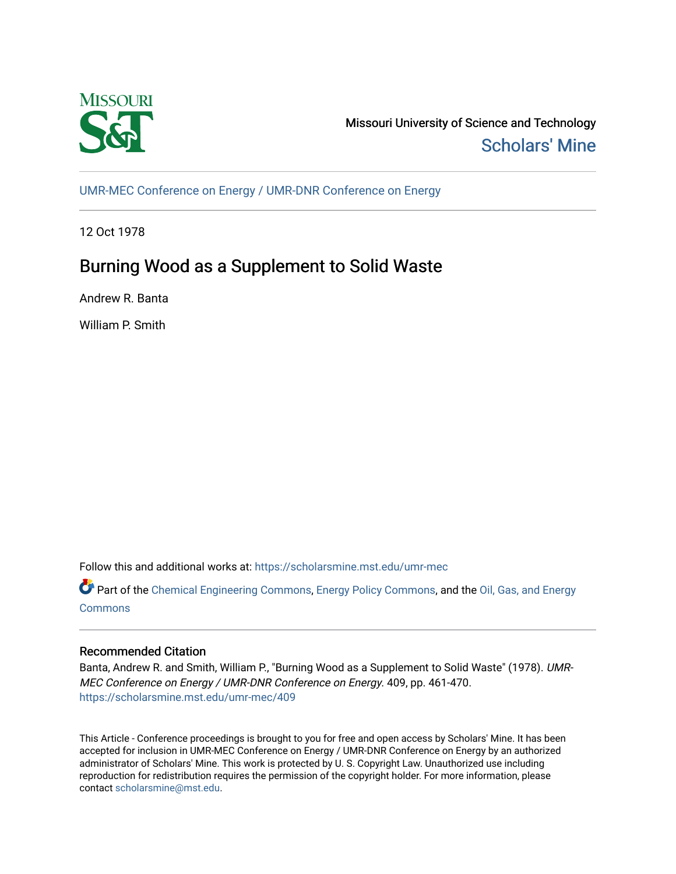

Missouri University of Science and Technology [Scholars' Mine](https://scholarsmine.mst.edu/) 

[UMR-MEC Conference on Energy / UMR-DNR Conference on Energy](https://scholarsmine.mst.edu/umr-mec)

12 Oct 1978

# Burning Wood as a Supplement to Solid Waste

Andrew R. Banta

William P. Smith

Follow this and additional works at: [https://scholarsmine.mst.edu/umr-mec](https://scholarsmine.mst.edu/umr-mec?utm_source=scholarsmine.mst.edu%2Fumr-mec%2F409&utm_medium=PDF&utm_campaign=PDFCoverPages) 

Part of the [Chemical Engineering Commons](http://network.bepress.com/hgg/discipline/240?utm_source=scholarsmine.mst.edu%2Fumr-mec%2F409&utm_medium=PDF&utm_campaign=PDFCoverPages), [Energy Policy Commons,](http://network.bepress.com/hgg/discipline/1065?utm_source=scholarsmine.mst.edu%2Fumr-mec%2F409&utm_medium=PDF&utm_campaign=PDFCoverPages) and the [Oil, Gas, and Energy](http://network.bepress.com/hgg/discipline/171?utm_source=scholarsmine.mst.edu%2Fumr-mec%2F409&utm_medium=PDF&utm_campaign=PDFCoverPages)  **[Commons](http://network.bepress.com/hgg/discipline/171?utm_source=scholarsmine.mst.edu%2Fumr-mec%2F409&utm_medium=PDF&utm_campaign=PDFCoverPages)** 

## Recommended Citation

Banta, Andrew R. and Smith, William P., "Burning Wood as a Supplement to Solid Waste" (1978). UMR-MEC Conference on Energy / UMR-DNR Conference on Energy. 409, pp. 461-470. [https://scholarsmine.mst.edu/umr-mec/409](https://scholarsmine.mst.edu/umr-mec/409?utm_source=scholarsmine.mst.edu%2Fumr-mec%2F409&utm_medium=PDF&utm_campaign=PDFCoverPages) 

This Article - Conference proceedings is brought to you for free and open access by Scholars' Mine. It has been accepted for inclusion in UMR-MEC Conference on Energy / UMR-DNR Conference on Energy by an authorized administrator of Scholars' Mine. This work is protected by U. S. Copyright Law. Unauthorized use including reproduction for redistribution requires the permission of the copyright holder. For more information, please contact [scholarsmine@mst.edu](mailto:scholarsmine@mst.edu).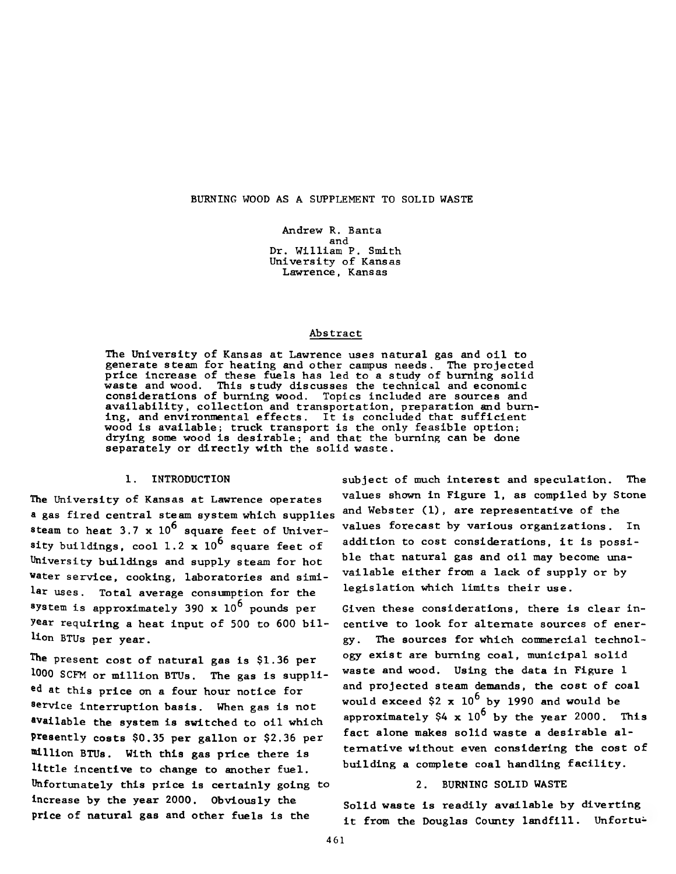#### **BURNING WOOD AS A SUPPLEMENT TO SOLID WASTE**

**Andrew R. Banta and Dr. William P. Smith University of Kansas Lawrence, Kansas**

#### **Abstract**

**The University of Kansas at Lawrence uses natural gas and oil to generate steam for heating and other campus needs. The projected price increase of these fuels has led to a study of burning solid waste and wood. This study discusses the technical and economic considerations of burning wood. Topics included are sources and availability, collection and transportation, preparation and burning, and environmental effects. It is concluded that sufficient wood is available; truck transport is the only feasible option; drying some wood is desirable; and that the burning can be done separately or directly with the solid waste.**

#### **1. INTRODUCTION**

**The University of Kansas at Lawrence operates a gas fired central steam system which supplies** steam to heat  $3.7 \times 10^6$  square feet of University buildings, cool 1.2  $\times$  10<sup>6</sup> square feet of **University buildings and supply steam for hot water service, cooking, laboratories and similar uses. Total average consumption for the system is approximately 390 x 10^ pounds per year requiring a heat input of 500 to 600 billion BTUs per year.**

**The present cost of natural gas is \$1.36 per 1000 SCFM or million BTUs. The gas is supplied at this price on a four hour notice for 8ervice interruption basis. When gas is not ®vailable the system is switched to oil which presently costs \$0.35 per gallon or \$2.36 per million BTUs. With this gas price there is little incentive to change to another fuel. Unfortunately this price is certainly going to Increase by the year 2000. Obviously the price of natural gas and other fuels is the**

**subject of much interest and speculation. The values shown in Figure 1, as compiled by Stone and Webster (1), are representative of the values forecast by various organizations. In addition to cost considerations, it is possible that natural gas and oil may become unavailable either from a lack of supply or by legislation which limits their use.**

**Given these considerations, there is clear incentive to look for alternate sources of energy. The sources for which commercial technology exist are burning coal, municipal solid waste and wood. Using the data in Figure 1 and projected steam demands, the cost of coal would exceed \$2 x 10^ by 1990 and would be** approximately  $$4 \times 10^6$  by the year 2000. This **fact alone makes solid waste a desirable alternative without even considering the cost of building a complete coal handling facility.**

#### **2. BURNING SOLID WASTE**

**Solid waste is readily available by diverting it from the Douglas County landfill. Unfortu-**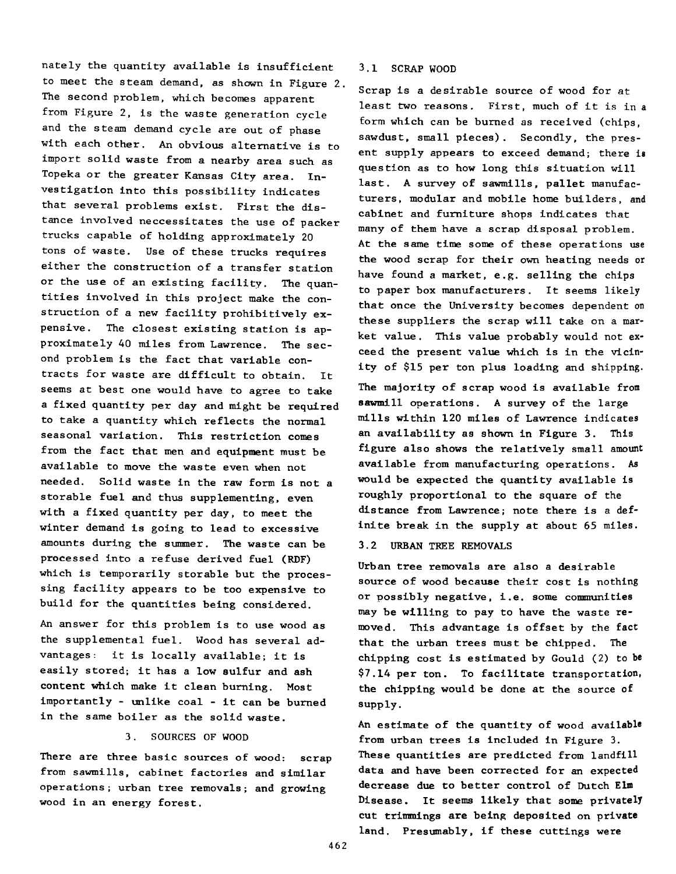**nately the quantity available is insufficient 3.1 SCRAP WOOD to meet the steam demand, as shown in Figure 2. The second problem, which becomes apparent from Figure 2, is the waste generation cycle and the steam demand cycle are out of phase with each other. An obvious alternative is to import solid waste from a nearby area such as Topeka or the greater Kansas City area. Investigation into this possibility indicates that several problems exist. First the distance involved neccessitates the use of packer trucks capable of holding approximately 20 tons of waste. Use of these trucks requires either the construction of a transfer station or the use of an existing facility. The quantities involved in this project make the construction of a new facility prohibitively expensive. The closest existing station is approximately 40 miles from Lawrence. The second problem is the fact that variable contracts for waste are difficult to obtain. It seems at best one would have to agree to take a fixed quantity per day and might be required to take a quantity which reflects the normal seasonal variation. This restriction comes from the fact that men and equipment must be available to move the waste even when not needed. Solid waste in the raw form is not a storable fuel and thus supplementing, even with a fixed quantity per day, to meet the winter demand is going to lead to excessive amounts during the summer. The waste can be processed into a refuse derived fuel (RDF) which is temporarily storable but the processing facility appears to be too expensive to build for the quantities being considered.**

**An answer for this problem is to use wood as the supplemental fuel. Wood has several advantages: it is locally available; it is easily stored; it has a low sulfur and ash content which make it clean burning. Most importantly - unlike coal - it can be burned in the same boiler as the solid waste.**

### **3. SOURCES OF WOOD**

**There are three basic sources of wood: scrap from sawmills, cabinet factories and similar operations ; urban tree removals; and growing wood in an energy forest.**

**Scrap is a desirable source of wood for at least two reasons. First, much of it is in a form which can be burned as received (chips, sawdust, small pieces). Secondly, the present supply appears to exceed demand; there is question as to how long this situation will last. A survey of sawmills, pallet manufacturers, modular and mobile home builders, and cabinet and furniture shops indicates that many of them have a scrap disposal problem. At the same time some of these operations use the wood scrap for their own heating needs or have found a market, e.g. selling the chips to paper box manufacturers. It seems likely that once the University becomes dependent on these suppliers the scrap will take on a market value. This value probably would not exceed the present value which is in the vicinity of \$15 per ton plus loading and shipping.**

**The majority of scrap wood is available from sawmill operations. A survey of the large mills within 120 miles of Lawrence indicates an availability as shown in Figure 3. This figure also shows the relatively small amount available from manufacturing operations. As would be expected the quantity available is roughly proportional to the square of the distance from Lawrence; note there is a definite break in the supply at about 65 miles.**

**3.2 URBAN TREE REMOVALS**

**Urban tree removals are also a desirable source of wood because their cost is nothing or possibly negative, i.e. some communities may be willing to pay to have the waste removed. This advantage is offset by the fact that the urban trees must be chipped. The chipping cost is estimated by Gould (2) to be \$7.14 per ton. To facilitate transportation, the chipping would be done at the source of supply.**

**An estimate of the quantity of wood available from urban trees is included in Figure 3. These quantities are predicted from landfill data and have been corrected for an expected decrease due to better control of Dutch Elm Disease. It seems likely that some privately cut trimmings are being deposited on private land. Presumably, if these cuttings were**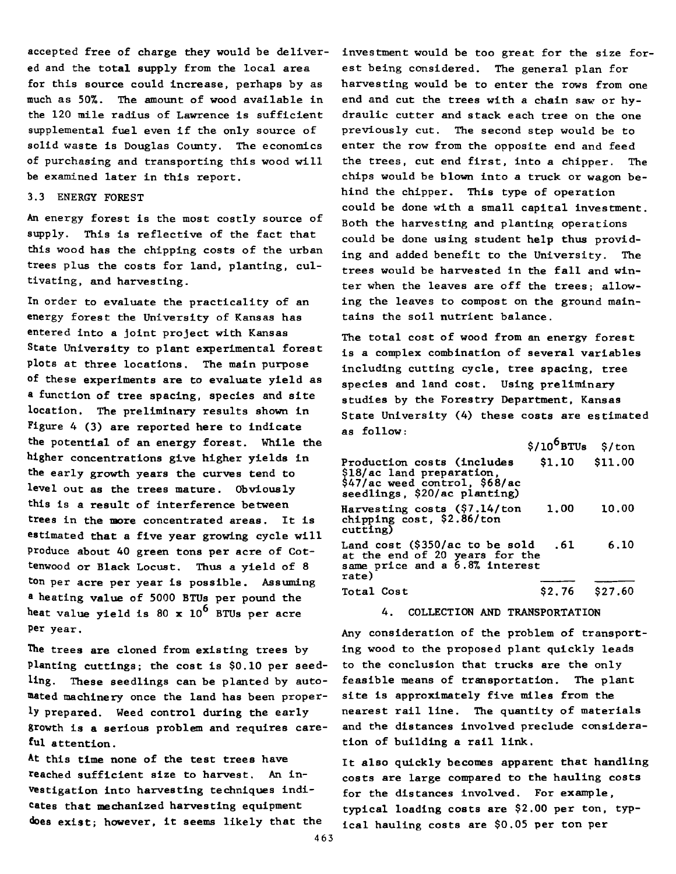**accepted free of charge they would be delivered and the total supply from the local area for this source could increase, perhaps by as much as 50%. The amount of wood available in the 120 mile radius of Lawrence is sufficient supplemental fuel even if the only source of solid waste is Douglas County, The economics of purchasing and transporting this wood will be examined later in this report.**

### **3.3 ENERGY FOREST**

**An energy forest is the most costly source of supply. This is reflective of the fact that this wood has the chipping costs of the urban trees plus the costs for land, planting, cultivating, and harvesting.**

**In order to evaluate the practicality of an energy forest the University of Kansas has entered into a joint project with Kansas State University to plant experimental forest plots at three locations. The main purpose of these experiments are to evaluate yield as a function of tree spacing, species and site location. The preliminary results shown in Figure 4 (3) are reported here to indicate the potential of an energy forest. While the higher concentrations give higher yields in the early growth years the curves tend to level out as the trees mature. Obviously this is a result of interference between trees in the more concentrated areas. It is estimated that a five year growing cycle will produce about 40 green tons per acre of Cottenwood or Black Locust. Thus a yield of 8 ton per acre per year is possible. Assuming a heating value of 5000 BTUs per pound the heat value yield is 80 x 10^ BTUs per acre Per year.**

**The trees are cloned from existing trees by Planting cuttings; the cost is \$0.10 per seedling. These seedlings can be planted by automated machinery once the land has been properly prepared. Weed control during the early growth is a serious problem and requires careful attention.**

**At this time none of the test trees have reached sufficient size to harvest. An investigation into harvesting techniques indicates that mechanized harvesting equipment does exist; however, it seems likely that the**

**investment would be too great for the size forest being considered. The general plan for harvesting would be to enter the rows from one** end and cut the trees with a chain saw or hy**draulic cutter and stack each tree on the one previously cut. The second step would be to enter the row from the opposite end and feed the trees, cut end first, into a chipper. The chips would be blown into a truck or wagon behind the chipper. This type of operation could be done with a small capital investment. Both the harvesting and planting operations could be done using student help thus providing and added benefit to the University. The trees would be harvested in the fall and winter when the leaves are off the trees; allowing the leaves to compost on the ground maintains the soil nutrient balance.**

**The total cost of wood from an energy forest is a complex combination of several variables including cutting cycle, tree spacing, tree species and land cost. Using preliminary studies by the Forestry Department, Kansas State University (4) these costs are estimated as follow:**

|                                                                                                                          | \$/10 BTUs \$/ton |         |
|--------------------------------------------------------------------------------------------------------------------------|-------------------|---------|
| Production costs (includes<br>\$18/ac land preparation,<br>\$47/ac weed control, \$68/ac<br>seedlings, \$20/ac planting) | $$1.10$ $$11.00$  |         |
| Harvesting costs (\$7.14/ton<br>chipping cost, \$2.86/ton<br>cutting)                                                    | 1.00              | 10.00   |
| Land cost $(\$350/ac$ to be sold<br>at the end of 20 years for the<br>same price and a 6.8% interest<br>rate)            | .61               | 6.10    |
| Total Cost                                                                                                               | \$2.76            | \$27.60 |

**4. COLLECTION AND TRANSPORTATION**

**Any consideration of the problem of transporting wood to the proposed plant quickly leads to the conclusion that trucks are the only feasible means of transportation. The plant site is approximately five miles from the nearest rail line. The quantity of materials and the distances involved preclude consideration of building a rail link.**

**It also quickly becomes apparent that handling costs are large compared to the hauling costs for the distances involved. For example, typical loading costs are \$2.00 per ton, typical hauling costs are \$0.05 per ton per**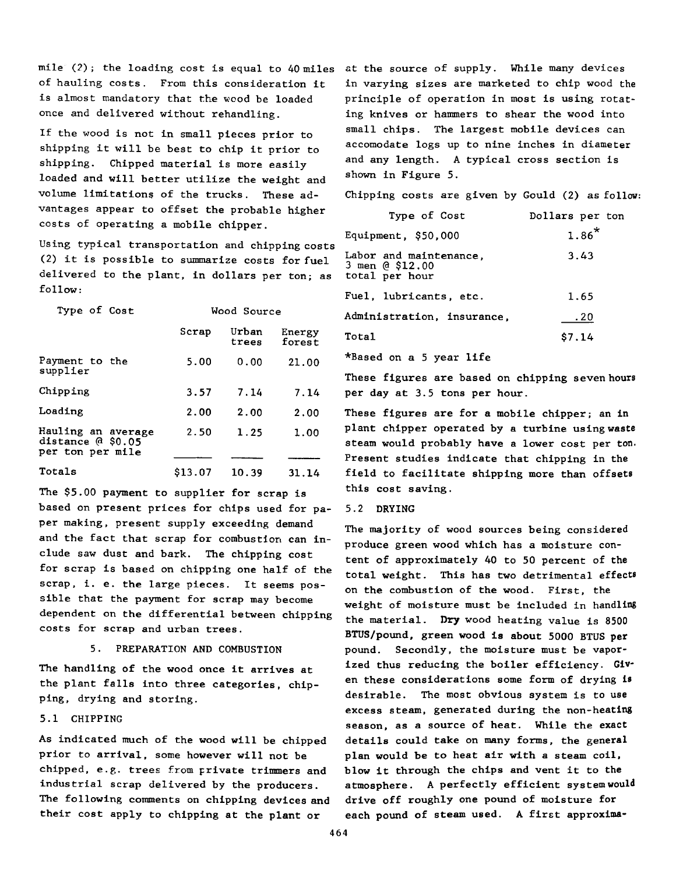**mile (?); the loading cost is equal to 40 miles at the source of supply. While many devices of hauling costs. From this consideration it is almost mandatory that the wood be loaded once and delivered without rehandling.**

**If the wood is not in small pieces prior to shipping it will be best to chip it prior to shipping. Chipped material is more easily loaded and will better utilize the weight and volume limitations of the trucks. These advantages appear to offset the probable higher costs of operating a mobile chipper.**

**Using typical transportation and chipping costs (2) it is possible to summarize costs for fuel delivered to the plant, in dollars per ton; as follow:**

| Type of Cost                                                  | Wood Source |                |                  |
|---------------------------------------------------------------|-------------|----------------|------------------|
|                                                               | Scrap       | Urban<br>trees | Energy<br>forest |
| Payment to the<br>supplier                                    | 5.00        | 0.00           | 21.00            |
| Chipping                                                      | 3.57        | 7.14           | 7.14             |
| Loading                                                       | 2.00        | 2.00           | 2.00             |
| Hauling an average<br>distance $@$ \$0.05<br>per ton per mile | 2.50        | 1.25           | 1.00             |
| Totals                                                        | \$13.07     | 10.39          | 31.14            |
|                                                               |             |                |                  |

**The \$5.00 payment to supplier for scrap is based on present prices for chips used for paper making, present supply exceeding demand and the fact that scrap for combustion can include saw dust and bark. The chipping cost for scrap is based on chipping one half of the scrap, i. e. the large pieces. It seems possible that the payment for scrap may become dependent on the differential between chipping costs for scrap and urban trees.**

#### **5. PREPARATION AND COMBUSTION**

**The handling of the wood once it arrives at the plant falls into three categories, chipping, drying and storing.**

#### **5.1 CHIPPING**

**As indicated much of the wood will be chipped prior to arrival, some however will not be chipped, e.g. trees from private trimmers and industrial scrap delivered by the producers. The following comments on chipping devices and their cost apply to chipping at the plant or**

**in varying sizes are marketed to chip wood the principle of operation in most is using rotating knives or hammers to shear the wood into small chips. The largest mobile devices can accomodate logs up to nine inches in diameter and any length. A typical cross section is shown in Figure 5.**

**Chipping costs are given by Gould (2) as follow:**

| Type of Cost                                                | Dollars per ton |
|-------------------------------------------------------------|-----------------|
| Equipment, $$50,000$                                        | $1.86*$         |
| Labor and maintenance.<br>3 men @ \$12.00<br>total per hour | 3.43            |
| Fuel, lubricants, etc.                                      | 1.65            |
| Administration, insurance,                                  | .20             |
| Total                                                       | \$7.14          |
|                                                             |                 |

**\*Based on a 5 year life**

**These figures are based on chipping seven hours per day at 3.5 tons per hour.**

**These figures are for a mobile chipper; an in plant chipper operated by a turbine using waste steam would probably have a lower cost per ton. Present studies indicate that chipping in the field to facilitate shipping more than offsets this cost saving.**

#### **5.2 DRYING**

**The majority of wood sources being considered produce green wood which has a moisture content of approximately 40 to 50 percent of the total weight. This has two detrimental effects on the combustion of the wood. First, the weight of moisture must be included in handling the material. Dry wood heating value is 8500 BTUS/pound, green wood is about 5000 BTUS per pound. Secondly, the moisture must be vaporized thus reducing the boiler efficiency. Given these considerations some form of drying is desirable. The most obvious system is to use excess steam, generated during the non-heating season, as a source of heat. While the exact details could take on many forms, the general plan would be to heat air with a steam coil, blow it through the chips and vent it to the atmosphere. A perfectly efficient system would drive off roughly one pound of moisture for each pound of steam used. A first approxima-**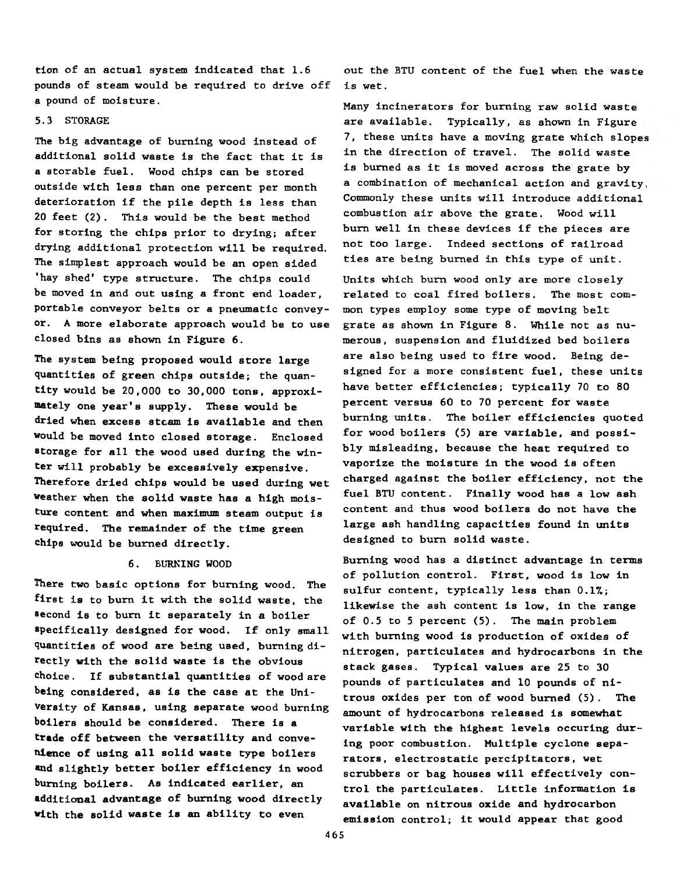**tion of an actual system indicated that 1.6 pounds of steam would be required to drive off a pound of moisture.**

#### **5.3 STORAGE**

**The big advantage of burning wood instead of additional solid waste is the fact that it is a storable fuel. Wood chips can be stored outside with less than one percent per month deterioration if the pile depth is less than 20 feet (2). This would be the best method for storing the chips prior to drying; after drying additional protection will be required. The simplest approach would be an open sided 'hay shed' type structure. The chips could be moved in and out using a front end loader, portable conveyor belts or a pneumatic conveyor. A more elaborate approach would be to use closed bins as shown in Figure 6.**

**The system being proposed would store large quantities of green chips outside; the quantity would be 20,000 to 30,000 tons, approximately one year's supply. These would be dried when excess steam is available and then would be moved into closed storage. Enclosed storage for all the wood used during the winter will probably be excessively expensive. Therefore dried chips would be used during wet weather when the solid waste has a high moisture content and when maximum steam output is required. The remainder of the time green chips would be burned directly.**

#### **6. BURNING WOOD**

**There two basic options for burning wood. The** first is to burn it with the solid waste, the second is to burn it separately in a boiler **specifically designed for wood. If only small quantities of wood are being used, burning directly with the solid waste is the obvious choice. If substantial quantities of wood are being considered, as is the case at the University of Kansas, using separate wood burning boilers should be considered. There is a trade off between the versatility and convenience of using all solid waste type boilers and slightly better boiler efficiency in wood burning boilers. As indicated earlier, an additional advantage of burning wood directly with the solid waste is an ability to even**

**out the BTU content of the fuel when the waste is wet.**

**Many incinerators for burning raw solid waste are available. Typically, as shown in Figure 7, these units have a moving grate which slope in the direction of travel. The solid waste is burned as it is moved across the grate by a combination of mechanical action and gravity Commonly these units will introduce additional combustion air above the grate. Wood will** burn well in these devices if the pieces are **not too large. Indeed sections of railroad ties are being burned in this type of unit.**

Units which burn wood only are more closely **related to coal fired boilers. The most common types employ some type of moving belt grate as shown in Figure 8. While not as numerous, suspension and fluidized bed boilers are also being used to fire wood. Being designed for a more consistent fuel, these units have better efficiencies; typically 70 to 80 percent versus 60 to 70 percent for waste burning units. The boiler efficiencies quoted for wood boilers (5) are variable, and possibly misleading, because the heat required to vaporize the moisture in the wood is often charged against the boiler efficiency, not the fuel BTU content. Finally wood has a low ash content and thus wood boilers do not have the large ash handling capacities found in units** designed to burn solid waste.

**Burning wood has a distinct advantage in terms of pollution control. First, wood is low in sulfur content, typically less than 0.1%; likewise the ash content is low, in the range of 0.5 to 5 percent (5). The main problem with burning wood is production of oxides of nitrogen, particulates and hydrocarbons in the stack gases. Typical values are 25 to 30 pounds of particulates and 10 pounds of nitrous oxides per ton of wood burned (5). The amount of hydrocarbons released is somewhat variable with the highest levels occuring during poor combustion. Multiple cyclone separators, electrostatic percipitators, wet scrubbers or bag houses will effectively control the particulates. Little information is available on nitrous oxide and hydrocarbon emission control; it would appear that good**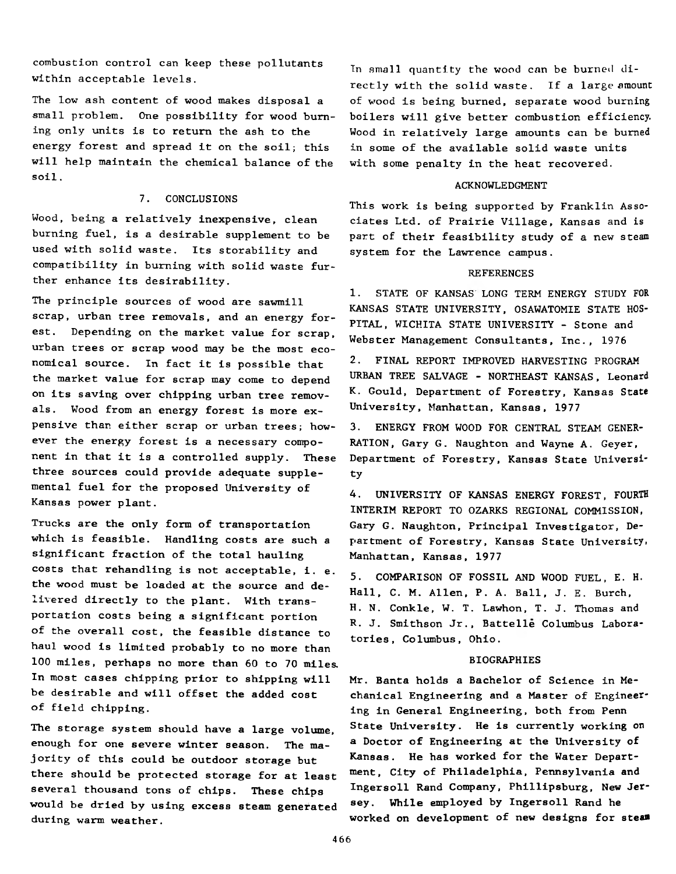**combustion control can keep these pollutants within acceptable levels.**

**The low ash content of wood makes disposal a small problem. One possibility for wood burning only units is to return the ash to the energy forest and spread it on the soil; this will help maintain the chemical balance of the soil.**

#### **7. CONCLUSIONS**

**Wood, being a relatively inexpensive, clean burning fuel, is a desirable supplement to be used with solid waste. Its storability and compatibility in burning with solid waste further enhance its desirability.**

**The principle sources of wood are sawmill scrap, urban tree removals, and an energy forest. Depending on the market value for scrap, urban trees or scrap wood may be the most economical source. In fact it is possible that the market value for scrap may come to depend on its saving over chipping urban tree removals. Wood from an energy forest is more expensive than either scrap or urban trees; however the energy forest is a necessary component in that it is a controlled supply. These three sources could provide adequate supplemental fuel for the proposed University of Kansas power plant.**

**Trucks are the only form of transportation which is feasible. Handling costs are such a significant fraction of the total hauling costs that rehandling is not acceptable, i. e. the wood must be loaded at the source and delivered directly to the plant. With transportation costs being a significant portion of the overall cost, the feasible distance to haul wood is limited probably to no more than 100 miles, perhaps no more than 60 to 70 miles. In most cases chipping prior to shipping will be desirable and will offset the added cost of field chipping.**

**The storage system should have a large volume, enough for one severe winter season. The majority of this could be outdoor storage but there should be protected storage for at least several thousand tons of chips. These chips would be dried by using excess steam generated during warm weather.**

**In small quantity the wood can be burned directly with the solid waste. If a large amount of wood is being burned, separate wood burning boilers will give better combustion efficiency. Wood in relatively large amounts can be burned in some of the available solid waste units with some penalty in the heat recovered.**

#### **ACKNOWLEDGMENT**

**This work is being supported by Franklin Associates Ltd. of Prairie Village, Kansas and is part of their feasibility study of a new steam system for the Lawrence campus.**

#### **REFERENCES**

**1. STATE OF KANSAS LONG TERM ENERGY STUDY FOR KANSAS STATE UNIVERSITY, OSAWATOMIE STATE HOS-PITAL, WICHITA STATE UNIVERSITY - Stone and Webster Management Consultants, Inc., 1976**

**2. FINAL REPORT IMPROVED HARVESTING PROGRAM URBAN TREE SALVAGE - NORTHEAST KANSAS, Leonard K. Gould, Department of Forestry, Kansas State University, Manhattan, Kansas, 1977**

**3. ENERGY FROM WOOD FOR CENTRAL STEAM GENER-RATION, Gary G. Naughton and Wayne A. Geyer, Department of Forestry, Kansas State University**

**4. UNIVERSITY OF KANSAS ENERGY FOREST, FOURTH INTERIM REPORT TO OZARKS REGIONAL COMMISSION, Gary G. Naughton, Principal Investigator, Department of Forestry, Kansas State University! Manhattan, Kansas, 1977**

**5. COMPARISON OF FOSSIL AND WOOD FUEL, E. H. Hall, C. M. Allen, P. A. Ball, J. E. Burch, H. N. Conkle, W. T. Lawhon, T. J. Thomas and R. J. Smithson Jr., Battelle Columbus Laboratories, Columbus, Ohio.**

#### **BIOGRAPHIES**

**Mr. Banta holds a Bachelor of Science in Mechanical Engineering and a Master of Engineering in General Engineering, both from Penn State University. He is currently working on a Doctor of Engineering at the University of Kansas. He has worked for the Water Department, City of Philadelphia, Pennsylvania and Ingersoll Rand Company, Phillipsburg, New Jersey. While employed by Ingersoll Rand he worked on development of new designs for steam**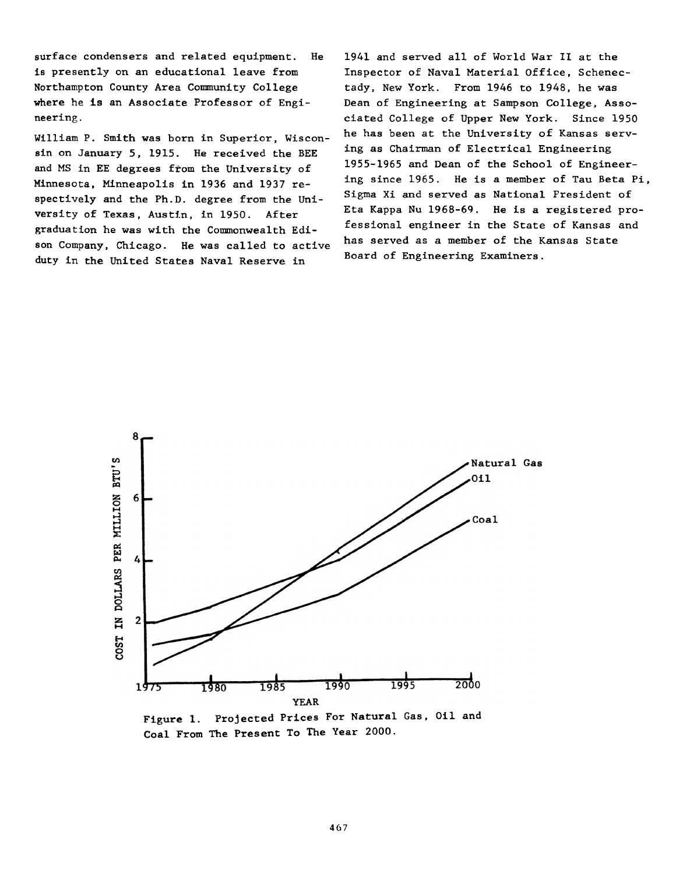**surface condensers and related equipment. He is presently on an educational leave from Northampton County Area Community College where he is an Associate Professor of Engineering .**

**William P. Smith was born in Superior, Wisconsin on January 5, 1915. He received the BEE and MS in EE degrees from the University of Minnesota, Minneapolis in 1936 and 1937 respectively and the Ph.D. degree from the University of Texas, Austin, in 1950. After graduation he was with the Commonwealth Edison Company, Chicago. He was called to active duty in the United States Naval Reserve in**

**1941 and served all of World War II at the Inspector of Naval Material Office, Schenectady, New York. From 1946 to 1948, he was Dean of Engineering at Sampson College, Associated College of Upper New York. Since 1950 he has been at the University of Kansas serving as Chairman of Electrical Engineering 1955-1965 and Dean of the School of Engineering since 1965. He is a member of Tau Beta Pi, Sigma Xi and served as National President of Eta Kappa Nu 1968-69. He is a registered professional engineer in the State of Kansas and has served as a member of the Kansas State Board of Engineering Examiners.**



**Figure 1. Projected Prices For Natural Gas, Oil and Coal From The Present To The Year 2000.**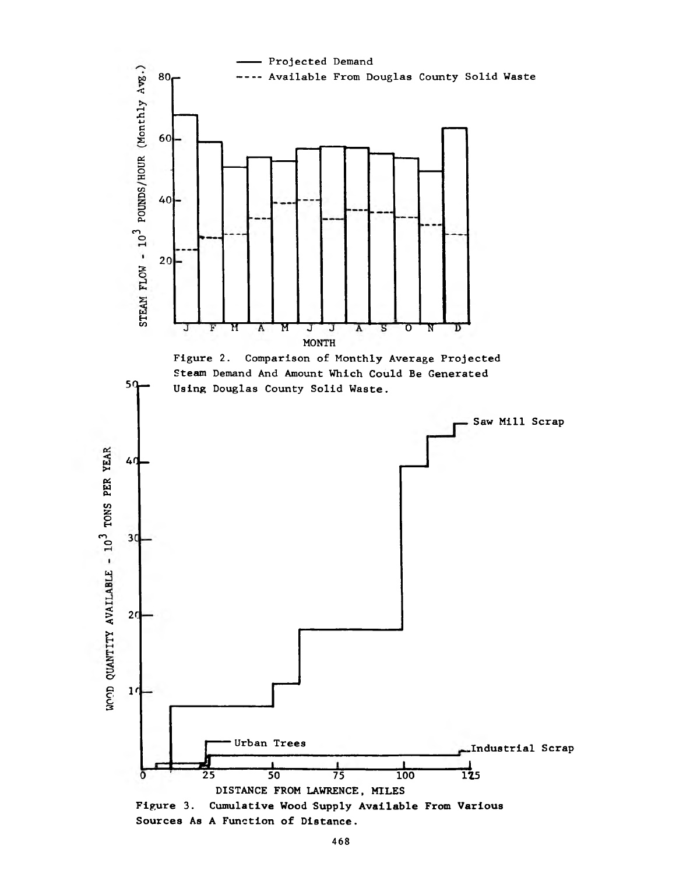

**Sources As A Function of Distance.**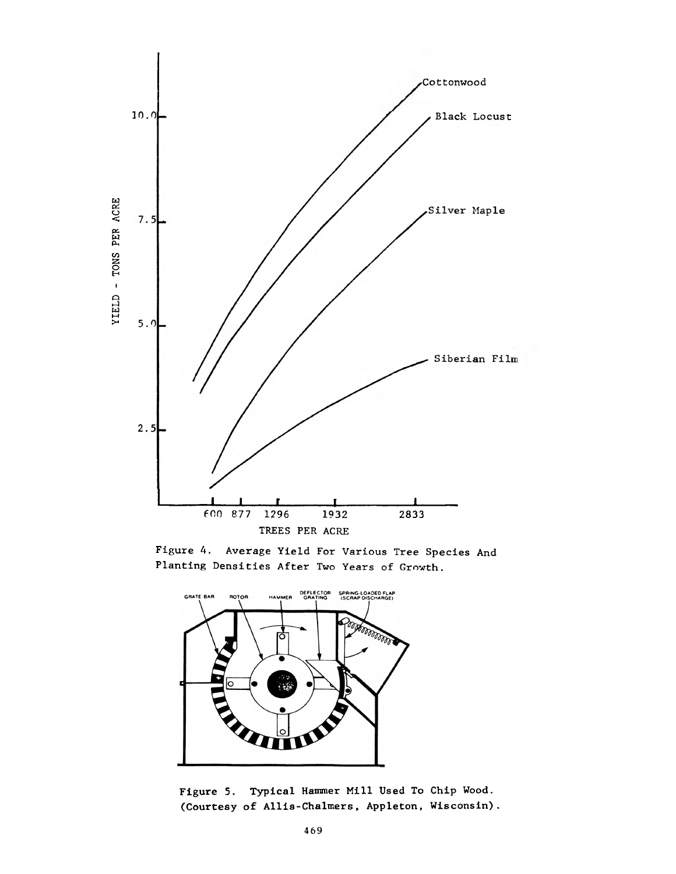





**Figure 5. Typical Hammer Mill Used To Chip Wood. (Courtesy of Allis-Chalmers, Appleton, Wisconsin).**